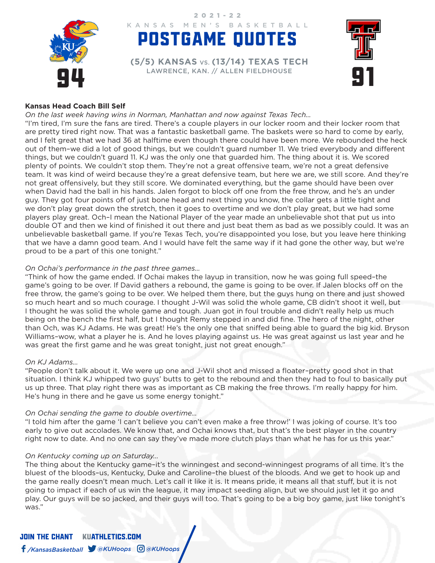

# POSTGAME QUOTES KANSAS MEN'S BASKETBALL

2021-22

94 LAWRENCE, KAN. // ALLEN FIELDHOUSE **(5/5) KANSAS** VS. **(13/14) TEXAS TECH**



### **Kansas Head Coach Bill Self**

*On the last week having wins in Norman, Manhattan and now against Texas Tech…*

"I'm tired, I'm sure the fans are tired. There's a couple players in our locker room and their locker room that are pretty tired right now. That was a fantastic basketball game. The baskets were so hard to come by early, and I felt great that we had 36 at halftime even though there could have been more. We rebounded the heck out of them–we did a lot of good things, but we couldn't guard number 11. We tried everybody and different things, but we couldn't guard 11. KJ was the only one that guarded him. The thing about it is. We scored plenty of points. We couldn't stop them. They're not a great offensive team, we're not a great defensive team. It was kind of weird because they're a great defensive team, but here we are, we still score. And they're not great offensively, but they still score. We dominated everything, but the game should have been over when David had the ball in his hands. Jalen forgot to block off one from the free throw, and he's an under guy. They got four points off of just bone head and next thing you know, the collar gets a little tight and we don't play great down the stretch, then it goes to overtime and we don't play great, but we had some players play great. Och–I mean the National Player of the year made an unbelievable shot that put us into double OT and then we kind of finished it out there and just beat them as bad as we possibly could. It was an unbelievable basketball game. If you're Texas Tech, you're disappointed you lose, but you leave here thinking that we have a damn good team. And I would have felt the same way if it had gone the other way, but we're proud to be a part of this one tonight."

### *On Ochai's performance in the past three games…*

"Think of how the game ended. If Ochai makes the layup in transition, now he was going full speed–the game's going to be over. If David gathers a rebound, the game is going to be over. If Jalen blocks off on the free throw, the game's going to be over. We helped them there, but the guys hung on there and just showed so much heart and so much courage. I thought J-Wil was solid the whole game, CB didn't shoot it well, but I thought he was solid the whole game and tough. Juan got in foul trouble and didn't really help us much being on the bench the first half, but I thought Remy stepped in and did fine. The hero of the night, other than Och, was KJ Adams. He was great! He's the only one that sniffed being able to guard the big kid. Bryson Williams–wow, what a player he is. And he loves playing against us. He was great against us last year and he was great the first game and he was great tonight, just not great enough."

### *On KJ Adams…*

"People don't talk about it. We were up one and J-Wil shot and missed a floater–pretty good shot in that situation. I think KJ whipped two guys' butts to get to the rebound and then they had to foul to basically put us up three. That play right there was as important as CB making the free throws. I'm really happy for him. He's hung in there and he gave us some energy tonight."

### *On Ochai sending the game to double overtime…*

"I told him after the game 'I can't believe you can't even make a free throw!' I was joking of course. It's too early to give out accolades. We know that, and Ochai knows that, but that's the best player in the country right now to date. And no one can say they've made more clutch plays than what he has for us this year."

### *On Kentucky coming up on Saturday…*

The thing about the Kentucky game–it's the winningest and second-winningest programs of all time. It's the bluest of the bloods–us, Kentucky, Duke and Caroline–the bluest of the bloods. And we get to hook up and the game really doesn't mean much. Let's call it like it is. It means pride, it means all that stuff, but it is not going to impact if each of us win the league, it may impact seeding align, but we should just let it go and play. Our guys will be so jacked, and their guys will too. That's going to be a big boy game, just like tonight's was."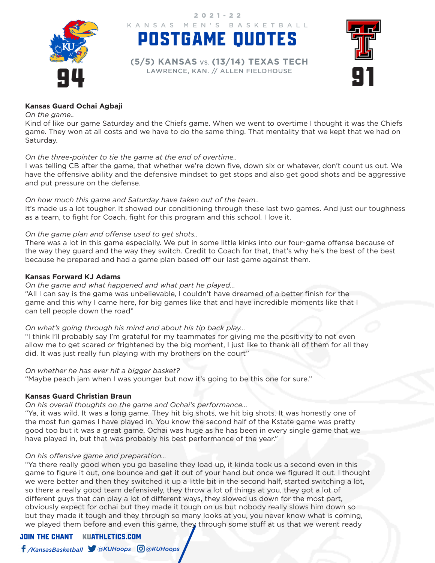

KANSAS MEN'S BASKETBALL 2021-22

94 LAWRENCE, KAN. // ALLEN FIELDHOUSE **(5/5) KANSAS** VS. **(13/14) TEXAS TECH**

POSTGAME QUOTES



### **Kansas Guard Ochai Agbaji**

### *On the game..*

Kind of like our game Saturday and the Chiefs game. When we went to overtime I thought it was the Chiefs game. They won at all costs and we have to do the same thing. That mentality that we kept that we had on Saturday.

### *On the three-pointer to tie the game at the end of overtime..*

I was telling CB after the game, that whether we're down five, down six or whatever, don't count us out. We have the offensive ability and the defensive mindset to get stops and also get good shots and be aggressive and put pressure on the defense.

### *On how much this game and Saturday have taken out of the team..*

It's made us a lot tougher. It showed our conditioning through these last two games. And just our toughness as a team, to fight for Coach, fight for this program and this school. I love it.

### *On the game plan and offense used to get shots..*

There was a lot in this game especially. We put in some little kinks into our four-game offense because of the way they guard and the way they switch. Credit to Coach for that, that's why he's the best of the best because he prepared and had a game plan based off our last game against them.

### **Kansas Forward KJ Adams**

### *On the game and what happened and what part he played…*

"All I can say is the game was unbelievable, I couldn't have dreamed of a better finish for the game and this why I came here, for big games like that and have incredible moments like that I can tell people down the road"

### *On what's going through his mind and about his tip back play…*

"I think I'll probably say I'm grateful for my teammates for giving me the positivity to not even allow me to get scared or frightened by the big moment, I just like to thank all of them for all they did. It was just really fun playing with my brothers on the court"

### *On whether he has ever hit a bigger basket?*

"Maybe peach jam when I was younger but now it's going to be this one for sure."

### **Kansas Guard Christian Braun**

### *On his overall thoughts on the game and Ochai's performance...*

"Ya, it was wild. It was a long game. They hit big shots, we hit big shots. It was honestly one of the most fun games I have played in. You know the second half of the Kstate game was pretty good too but it was a great game. Ochai was huge as he has been in every single game that we have played in, but that was probably his best performance of the year."

### *On his offensive game and preparation…*

"Ya there really good when you go baseline they load up, it kinda took us a second even in this game to figure it out, one bounce and get it out of your hand but once we figured it out. I thought we were better and then they switched it up a little bit in the second half, started switching a lot, so there a really good team defensively, they throw a lot of things at you, they got a lot of different guys that can play a lot of different ways, they slowed us down for the most part, obviously expect for ochai but they made it tough on us but nobody really slows him down so but they made it tough and they through so many looks at you, you never know what is coming, we played them before and even this game, they through some stuff at us that we werent ready

## JOIN THE CHANTKUATHLETICS.COM

## */KansasBasketball @KUHoops @KUHoops*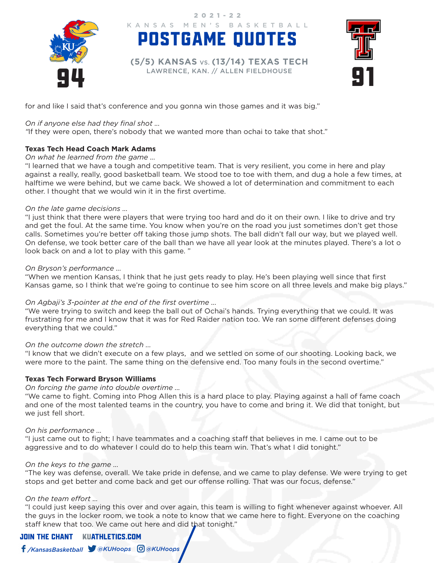

POSTGAME QUOTES KANSAS MEN'S BASKETBALL 2021-22

94 LAWRENCE, KAN. // ALLEN FIELDHOUSE **(5/5) KANSAS** VS. **(13/14) TEXAS TECH**



for and like I said that's conference and you gonna win those games and it was big."

### *On if anyone else had they final shot ...*

*"*If they were open, there's nobody that we wanted more than ochai to take that shot."

### **Texas Tech Head Coach Mark Adams**

#### *On what he learned from the game ...*

"I learned that we have a tough and competitive team. That is very resilient, you come in here and play against a really, really, good basketball team. We stood toe to toe with them, and dug a hole a few times, at halftime we were behind, but we came back. We showed a lot of determination and commitment to each other. I thought that we would win it in the first overtime.

#### *On the late game decisions ...*

"I just think that there were players that were trying too hard and do it on their own. I like to drive and try and get the foul. At the same time. You know when you're on the road you just sometimes don't get those calls. Sometimes you're better off taking those jump shots. The ball didn't fall our way, but we played well. On defense, we took better care of the ball than we have all year look at the minutes played. There's a lot o look back on and a lot to play with this game. "

### *On Bryson's performance ...*

"When we mention Kansas, I think that he just gets ready to play. He's been playing well since that first Kansas game, so I think that we're going to continue to see him score on all three levels and make big plays."

### *On Agbaji's 3-pointer at the end of the first overtime ...*

"We were trying to switch and keep the ball out of Ochai's hands. Trying everything that we could. It was frustrating for me and I know that it was for Red Raider nation too. We ran some different defenses doing everything that we could."

### *On the outcome down the stretch ...*

"I know that we didn't execute on a few plays, and we settled on some of our shooting. Looking back, we were more to the paint. The same thing on the defensive end. Too many fouls in the second overtime."

### **Texas Tech Forward Bryson Williams**

#### *On forcing the game into double overtime ...*

"We came to fight. Coming into Phog Allen this is a hard place to play. Playing against a hall of fame coach and one of the most talented teams in the country, you have to come and bring it. We did that tonight, but we just fell short.

### *On his performance ...*

"I just came out to fight; I have teammates and a coaching staff that believes in me. I came out to be aggressive and to do whatever I could do to help this team win. That's what I did tonight."

#### *On the keys to the game ...*

"The key was defense, overall. We take pride in defense, and we came to play defense. We were trying to get stops and get better and come back and get our offense rolling. That was our focus, defense."

### *On the team effort ...*

"I could just keep saying this over and over again, this team is willing to fight whenever against whoever. All the guys in the locker room, we took a note to know that we came here to fight. Everyone on the coaching staff knew that too. We came out here and did that tonight."

### JOIN THE CHANTKUATHLETICS.COM

*/KansasBasketball @KUHoops @KUHoops*